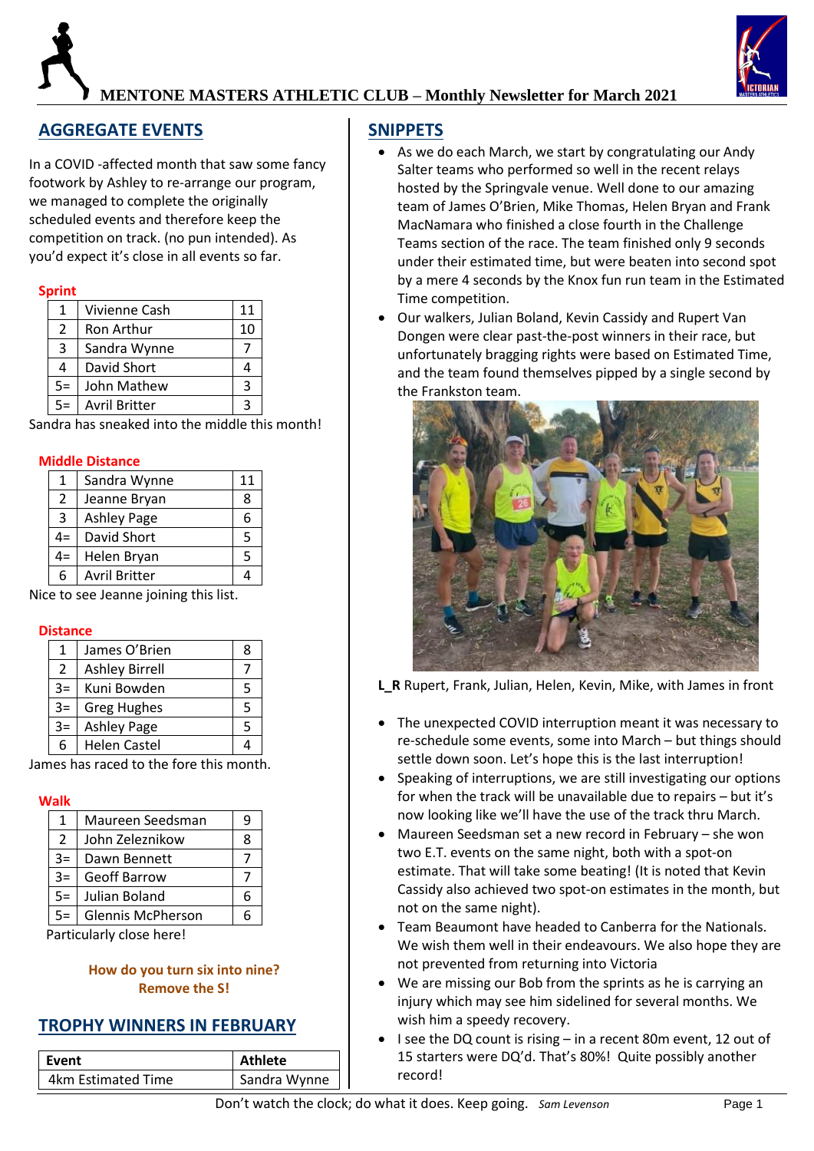# **MENTONE MASTERS ATHLETIC CLUB – Monthly Newsletter for March 2021**

# **AGGREGATE EVENTS**

In a COVID -affected month that saw some fancy footwork by Ashley to re-arrange our program, we managed to complete the originally scheduled events and therefore keep the competition on track. (no pun intended). As you'd expect it's close in all events so far.

#### **Sprint**

| 1    | Vivienne Cash        |    |
|------|----------------------|----|
| 2    | Ron Arthur           | 10 |
| 3    | Sandra Wynne         |    |
| 4    | David Short          |    |
| $5=$ | John Mathew          | 3  |
|      | <b>Avril Britter</b> |    |

Sandra has sneaked into the middle this month!

#### **Middle Distance**

| 1             | Sandra Wynne         |  |
|---------------|----------------------|--|
| $\mathcal{P}$ | Jeanne Bryan         |  |
| 3             | <b>Ashley Page</b>   |  |
| $4=$          | David Short          |  |
| $4=$          | Helen Bryan          |  |
| 6             | <b>Avril Britter</b> |  |

Nice to see Jeanne joining this list.

#### **Distance**

| 1    | James O'Brien         |  |
|------|-----------------------|--|
| 2    | <b>Ashley Birrell</b> |  |
| $3=$ | Kuni Bowden           |  |
| $3=$ | <b>Greg Hughes</b>    |  |
| $3=$ | <b>Ashley Page</b>    |  |
| 6    | <b>Helen Castel</b>   |  |

James has raced to the fore this month.

**Walk**

| 1              | Maureen Seedsman         |  |
|----------------|--------------------------|--|
| $\overline{2}$ | John Zeleznikow          |  |
| $3=$           | Dawn Bennett             |  |
| $3=$           | <b>Geoff Barrow</b>      |  |
| $5=$           | Julian Boland            |  |
| $5=$           | <b>Glennis McPherson</b> |  |

Particularly close here!

#### **How do you turn six into nine? Remove the S!**

### **TROPHY WINNERS IN FEBRUARY**

| Event              | Athlete      |
|--------------------|--------------|
| 4km Estimated Time | Sandra Wynne |

# **SNIPPETS**

- As we do each March, we start by congratulating our Andy Salter teams who performed so well in the recent relays hosted by the Springvale venue. Well done to our amazing team of James O'Brien, Mike Thomas, Helen Bryan and Frank MacNamara who finished a close fourth in the Challenge Teams section of the race. The team finished only 9 seconds under their estimated time, but were beaten into second spot by a mere 4 seconds by the Knox fun run team in the Estimated Time competition.
- Our walkers, Julian Boland, Kevin Cassidy and Rupert Van Dongen were clear past-the-post winners in their race, but unfortunately bragging rights were based on Estimated Time, and the team found themselves pipped by a single second by the Frankston team.



**L\_R** Rupert, Frank, Julian, Helen, Kevin, Mike, with James in front

- The unexpected COVID interruption meant it was necessary to re-schedule some events, some into March – but things should settle down soon. Let's hope this is the last interruption!
- Speaking of interruptions, we are still investigating our options for when the track will be unavailable due to repairs – but it's now looking like we'll have the use of the track thru March.
- Maureen Seedsman set a new record in February she won two E.T. events on the same night, both with a spot-on estimate. That will take some beating! (It is noted that Kevin Cassidy also achieved two spot-on estimates in the month, but not on the same night).
- Team Beaumont have headed to Canberra for the Nationals. We wish them well in their endeavours. We also hope they are not prevented from returning into Victoria
- We are missing our Bob from the sprints as he is carrying an injury which may see him sidelined for several months. We wish him a speedy recovery.
- I see the DQ count is rising in a recent 80m event, 12 out of 15 starters were DQ'd. That's 80%! Quite possibly another record!